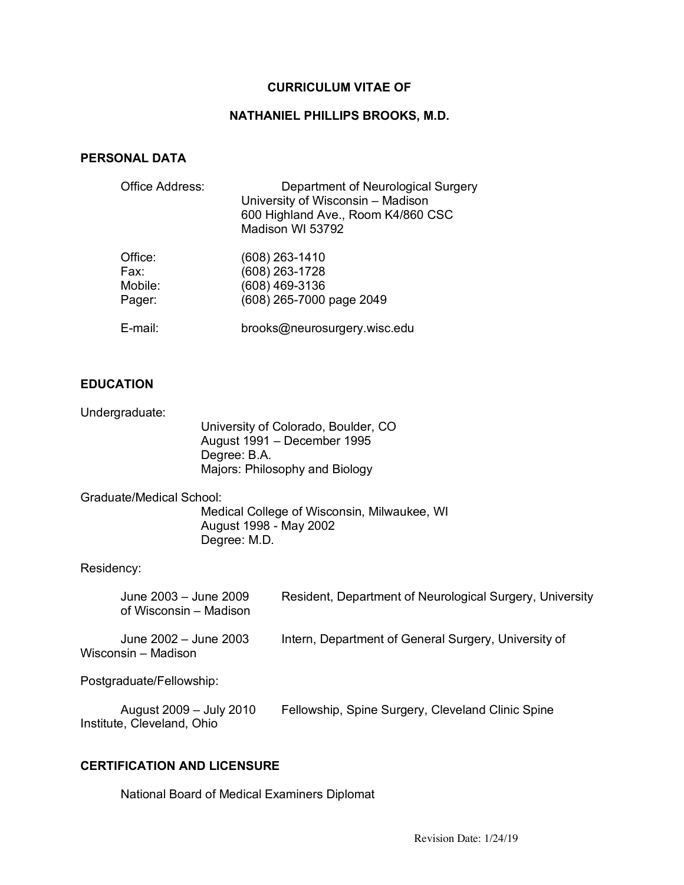## **CURRICULUM VITAE OF**

#### **NATHANIEL PHILLIPS BROOKS, M.D.**

#### **PERSONAL DATA**

| Office Address:                      | Department of Neurological Surgery<br>University of Wisconsin - Madison<br>600 Highland Ave., Room K4/860 CSC<br>Madison WI 53792 |
|--------------------------------------|-----------------------------------------------------------------------------------------------------------------------------------|
| Office:<br>Fax:<br>Mobile:<br>Pager: | $(608)$ 263-1410<br>(608) 263-1728<br>(608) 469-3136<br>(608) 265-7000 page 2049                                                  |
| E-mail:                              | brooks@neurosurgery.wisc.edu                                                                                                      |

### **EDUCATION**

Undergraduate:

University of Colorado, Boulder, CO August 1991 – December 1995 Degree: B.A. Majors: Philosophy and Biology

Graduate/Medical School:

Medical College of Wisconsin, Milwaukee, WI August 1998 - May 2002 Degree: M.D.

### Residency:

| June 2003 - June 2009<br>of Wisconsin - Madison | Resident, Department of Neurological Surgery, University |
|-------------------------------------------------|----------------------------------------------------------|
| June 2002 – June 2003<br>Wisconsin – Madison    | Intern, Department of General Surgery, University of     |

Postgraduate/Fellowship:

| August 2009 – July 2010    | Fellowship, Spine Surgery, Cleveland Clinic Spine |
|----------------------------|---------------------------------------------------|
| Institute, Cleveland, Ohio |                                                   |

#### **CERTIFICATION AND LICENSURE**

National Board of Medical Examiners Diplomat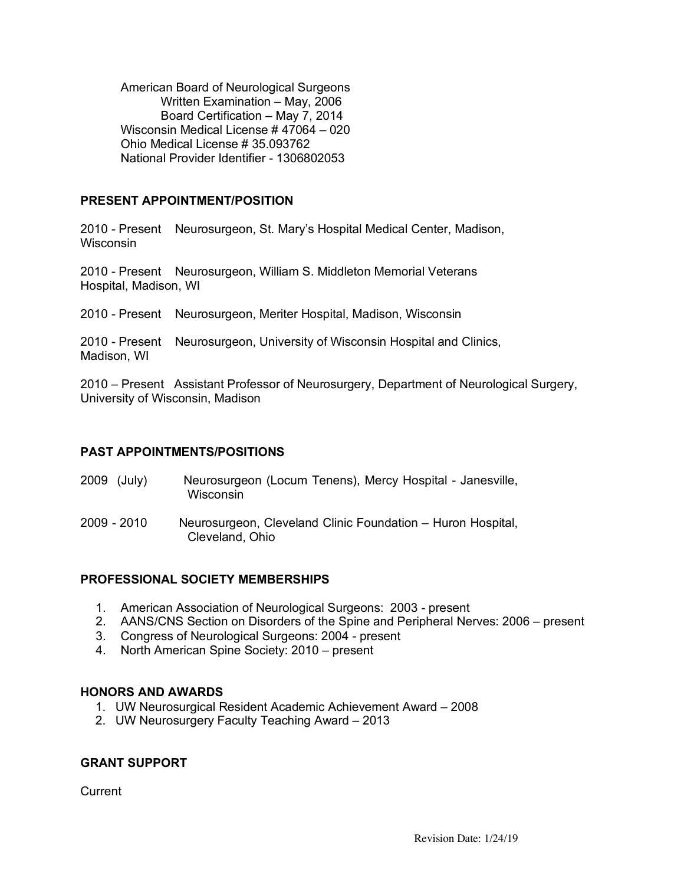American Board of Neurological Surgeons Written Examination – May, 2006 Board Certification – May 7, 2014 Wisconsin Medical License # 47064 – 020 Ohio Medical License # 35.093762 National Provider Identifier - 1306802053

## **PRESENT APPOINTMENT/POSITION**

2010 - Present Neurosurgeon, St. Mary's Hospital Medical Center, Madison, **Wisconsin** 

2010 - Present Neurosurgeon, William S. Middleton Memorial Veterans Hospital, Madison, WI

2010 - Present Neurosurgeon, Meriter Hospital, Madison, Wisconsin

2010 - Present Neurosurgeon, University of Wisconsin Hospital and Clinics, Madison, WI

2010 – Present Assistant Professor of Neurosurgery, Department of Neurological Surgery, University of Wisconsin, Madison

## **PAST APPOINTMENTS/POSITIONS**

| 2009 (July) | Neurosurgeon (Locum Tenens), Mercy Hospital - Janesville, |
|-------------|-----------------------------------------------------------|
|             | Wisconsin                                                 |

2009 - 2010 Neurosurgeon, Cleveland Clinic Foundation – Huron Hospital, Cleveland, Ohio

## **PROFESSIONAL SOCIETY MEMBERSHIPS**

- 1. American Association of Neurological Surgeons: 2003 present
- 2. AANS/CNS Section on Disorders of the Spine and Peripheral Nerves: 2006 present
- 3. Congress of Neurological Surgeons: 2004 present
- 4. North American Spine Society: 2010 present

## **HONORS AND AWARDS**

- 1. UW Neurosurgical Resident Academic Achievement Award 2008
- 2. UW Neurosurgery Faculty Teaching Award 2013

## **GRANT SUPPORT**

**Current**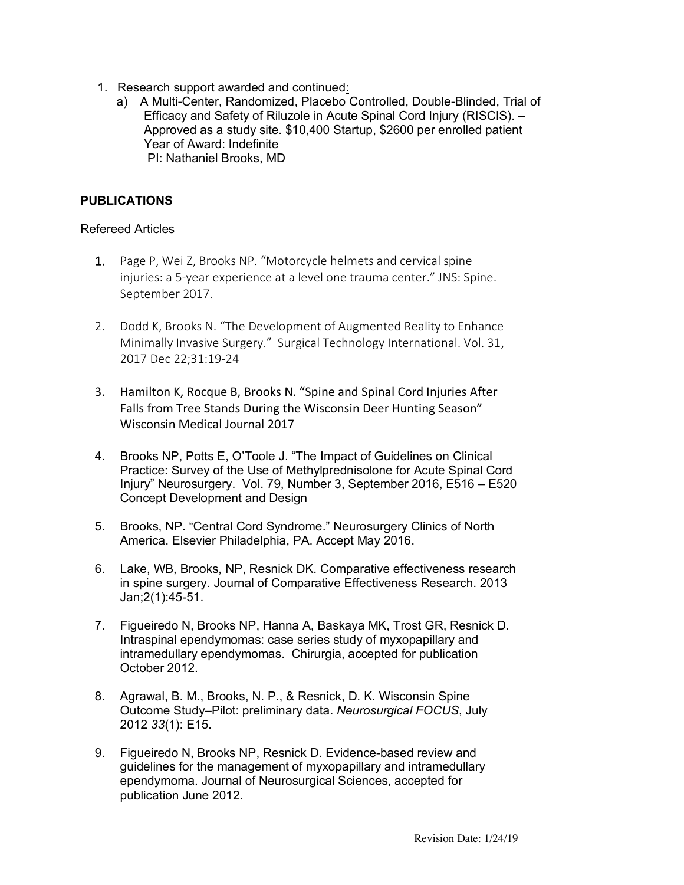- 1. Research support awarded and continued:
	- a) A Multi-Center, Randomized, Placebo Controlled, Double-Blinded, Trial of Efficacy and Safety of Riluzole in Acute Spinal Cord Injury (RISCIS). – Approved as a study site. \$10,400 Startup, \$2600 per enrolled patient Year of Award: Indefinite PI: Nathaniel Brooks, MD

# **PUBLICATIONS**

### Refereed Articles

- 1. Page P, Wei Z, Brooks NP. "Motorcycle helmets and cervical spine injuries: a 5-year experience at a level one trauma center." JNS: Spine. September 2017.
- 2. Dodd K, Brooks N. "The Development of Augmented Reality to Enhance Minimally Invasive Surgery." Surgical Technology International. Vol. 31, 2017 Dec 22;31:19-24
- 3. Hamilton K, Rocque B, Brooks N. "Spine and Spinal Cord Injuries After Falls from Tree Stands During the Wisconsin Deer Hunting Season" Wisconsin Medical Journal 2017
- 4. Brooks NP, Potts E, O'Toole J. "The Impact of Guidelines on Clinical Practice: Survey of the Use of Methylprednisolone for Acute Spinal Cord Injury" Neurosurgery. Vol. 79, Number 3, September 2016, E516 – E520 Concept Development and Design
- 5. Brooks, NP. "Central Cord Syndrome." Neurosurgery Clinics of North America. Elsevier Philadelphia, PA. Accept May 2016.
- 6. Lake, WB, Brooks, NP, Resnick DK. Comparative effectiveness research in spine surgery. Journal of Comparative Effectiveness Research. 2013 Jan;2(1):45-51.
- 7. Figueiredo N, Brooks NP, Hanna A, Baskaya MK, Trost GR, Resnick D. Intraspinal ependymomas: case series study of myxopapillary and intramedullary ependymomas. Chirurgia, accepted for publication October 2012.
- 8. Agrawal, B. M., Brooks, N. P., & Resnick, D. K. Wisconsin Spine Outcome Study–Pilot: preliminary data. *Neurosurgical FOCUS*, July 2012 *33*(1): E15.
- 9. Figueiredo N, Brooks NP, Resnick D. Evidence-based review and guidelines for the management of myxopapillary and intramedullary ependymoma. Journal of Neurosurgical Sciences, accepted for publication June 2012.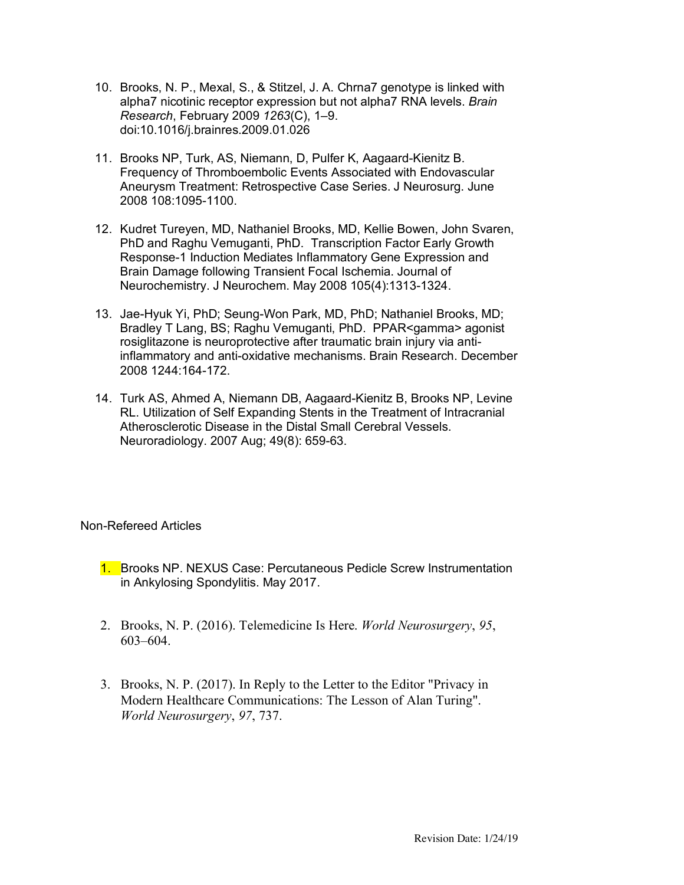- 10. Brooks, N. P., Mexal, S., & Stitzel, J. A. Chrna7 genotype is linked with alpha7 nicotinic receptor expression but not alpha7 RNA levels. *Brain Research*, February 2009 *1263*(C), 1–9. doi:10.1016/j.brainres.2009.01.026
- 11. Brooks NP, Turk, AS, Niemann, D, Pulfer K, Aagaard-Kienitz B. Frequency of Thromboembolic Events Associated with Endovascular Aneurysm Treatment: Retrospective Case Series. J Neurosurg. June 2008 108:1095-1100.
- 12. Kudret Tureyen, MD, Nathaniel Brooks, MD, Kellie Bowen, John Svaren, PhD and Raghu Vemuganti, PhD. Transcription Factor Early Growth Response-1 Induction Mediates Inflammatory Gene Expression and Brain Damage following Transient Focal Ischemia. Journal of Neurochemistry. J Neurochem. May 2008 105(4):1313-1324.
- 13. Jae-Hyuk Yi, PhD; Seung-Won Park, MD, PhD; Nathaniel Brooks, MD; Bradley T Lang, BS; Raghu Vemuganti, PhD. PPAR<gamma> agonist rosiglitazone is neuroprotective after traumatic brain injury via antiinflammatory and anti-oxidative mechanisms. Brain Research. December 2008 1244:164-172.
- 14. Turk AS, Ahmed A, Niemann DB, Aagaard-Kienitz B, Brooks NP, Levine RL. Utilization of Self Expanding Stents in the Treatment of Intracranial Atherosclerotic Disease in the Distal Small Cerebral Vessels. Neuroradiology. 2007 Aug; 49(8): 659-63.

Non-Refereed Articles

- 1. Brooks NP. NEXUS Case: Percutaneous Pedicle Screw Instrumentation in Ankylosing Spondylitis. May 2017.
- 2. Brooks, N. P. (2016). Telemedicine Is Here. *World Neurosurgery*, *95*, 603–604.
- 3. Brooks, N. P. (2017). In Reply to the Letter to the Editor "Privacy in Modern Healthcare Communications: The Lesson of Alan Turing". *World Neurosurgery*, *97*, 737.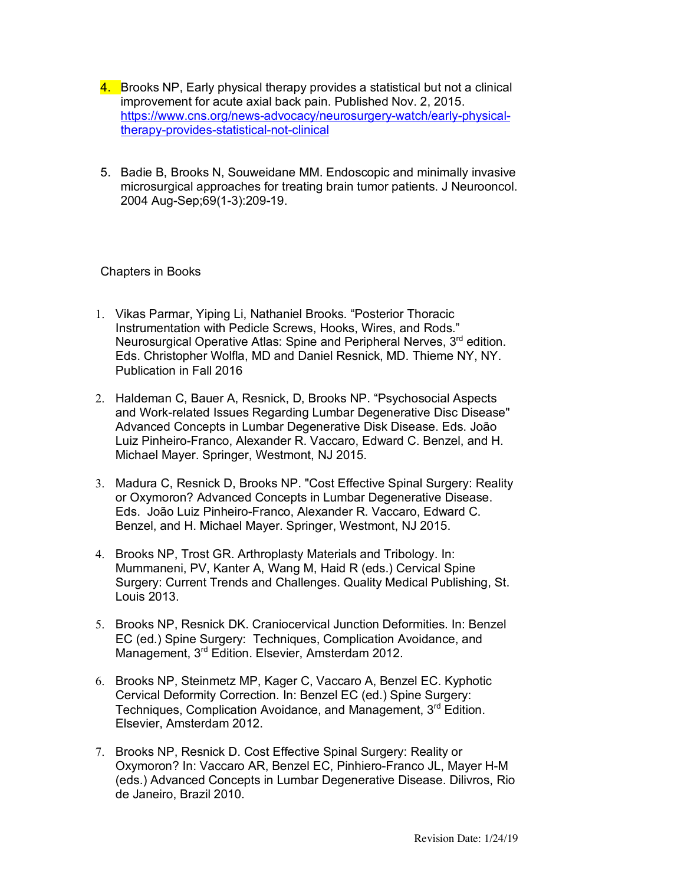- 4. Brooks NP, Early physical therapy provides a statistical but not a clinical improvement for acute axial back pain. Published Nov. 2, 2015. https://www.cns.org/news-advocacy/neurosurgery-watch/early-physicaltherapy-provides-statistical-not-clinical
- 5. Badie B, Brooks N, Souweidane MM. Endoscopic and minimally invasive microsurgical approaches for treating brain tumor patients. J Neurooncol. 2004 Aug-Sep;69(1-3):209-19.

Chapters in Books

- 1. Vikas Parmar, Yiping Li, Nathaniel Brooks. "Posterior Thoracic Instrumentation with Pedicle Screws, Hooks, Wires, and Rods." Neurosurgical Operative Atlas: Spine and Peripheral Nerves, 3<sup>rd</sup> edition. Eds. Christopher Wolfla, MD and Daniel Resnick, MD. Thieme NY, NY. Publication in Fall 2016
- 2. Haldeman C, Bauer A, Resnick, D, Brooks NP. "Psychosocial Aspects and Work-related Issues Regarding Lumbar Degenerative Disc Disease" Advanced Concepts in Lumbar Degenerative Disk Disease. Eds. João Luiz Pinheiro-Franco, Alexander R. Vaccaro, Edward C. Benzel, and H. Michael Mayer. Springer, Westmont, NJ 2015.
- 3. Madura C, Resnick D, Brooks NP. "Cost Effective Spinal Surgery: Reality or Oxymoron? Advanced Concepts in Lumbar Degenerative Disease. Eds. João Luiz Pinheiro-Franco, Alexander R. Vaccaro, Edward C. Benzel, and H. Michael Mayer. Springer, Westmont, NJ 2015.
- 4. Brooks NP, Trost GR. Arthroplasty Materials and Tribology. In: Mummaneni, PV, Kanter A, Wang M, Haid R (eds.) Cervical Spine Surgery: Current Trends and Challenges. Quality Medical Publishing, St. Louis 2013.
- 5. Brooks NP, Resnick DK. Craniocervical Junction Deformities. In: Benzel EC (ed.) Spine Surgery: Techniques, Complication Avoidance, and Management, 3<sup>rd</sup> Edition. Elsevier, Amsterdam 2012.
- 6. Brooks NP, Steinmetz MP, Kager C, Vaccaro A, Benzel EC. Kyphotic Cervical Deformity Correction. In: Benzel EC (ed.) Spine Surgery: Techniques, Complication Avoidance, and Management, 3<sup>rd</sup> Edition. Elsevier, Amsterdam 2012.
- 7. Brooks NP, Resnick D. Cost Effective Spinal Surgery: Reality or Oxymoron? In: Vaccaro AR, Benzel EC, Pinhiero-Franco JL, Mayer H-M (eds.) Advanced Concepts in Lumbar Degenerative Disease. Dilivros, Rio de Janeiro, Brazil 2010.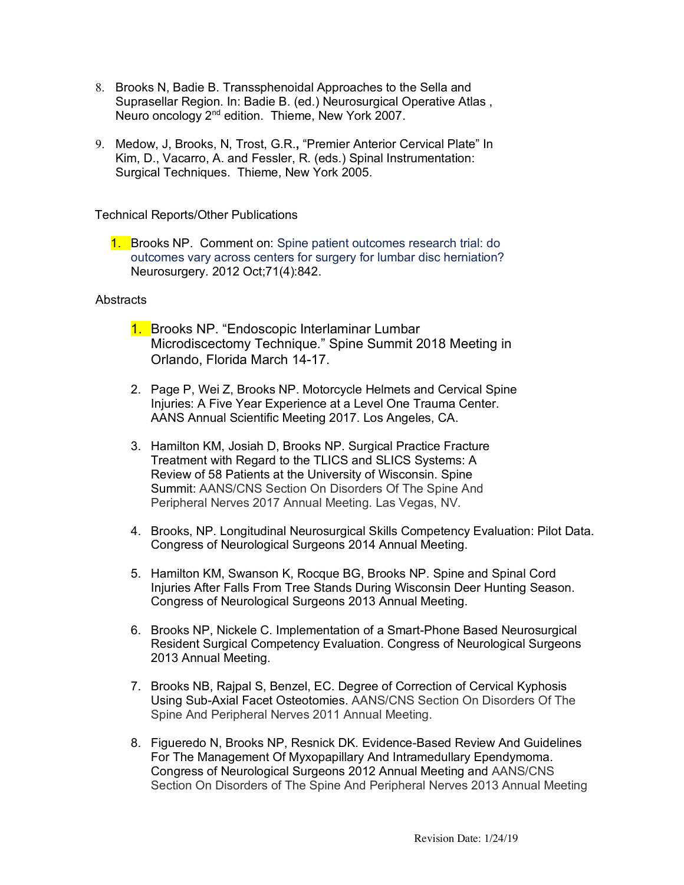- 8. Brooks N, Badie B. Transsphenoidal Approaches to the Sella and Suprasellar Region. In: Badie B. (ed.) Neurosurgical Operative Atlas , Neuro oncology 2<sup>nd</sup> edition. Thieme, New York 2007.
- 9. Medow, J, Brooks, N, Trost, G.R.**,** "Premier Anterior Cervical Plate" In Kim, D., Vacarro, A. and Fessler, R. (eds.) Spinal Instrumentation: Surgical Techniques. Thieme, New York 2005.

Technical Reports/Other Publications

1. Brooks NP. Comment on: Spine patient outcomes research trial: do outcomes vary across centers for surgery for lumbar disc herniation? Neurosurgery. 2012 Oct;71(4):842.

### Abstracts

- 1. Brooks NP. "Endoscopic Interlaminar Lumbar Microdiscectomy Technique." Spine Summit 2018 Meeting in Orlando, Florida March 14-17.
- 2. Page P, Wei Z, Brooks NP. Motorcycle Helmets and Cervical Spine Injuries: A Five Year Experience at a Level One Trauma Center. AANS Annual Scientific Meeting 2017. Los Angeles, CA.
- 3. Hamilton KM, Josiah D, Brooks NP. Surgical Practice Fracture Treatment with Regard to the TLICS and SLICS Systems: A Review of 58 Patients at the University of Wisconsin. Spine Summit: AANS/CNS Section On Disorders Of The Spine And Peripheral Nerves 2017 Annual Meeting. Las Vegas, NV.
- 4. Brooks, NP. Longitudinal Neurosurgical Skills Competency Evaluation: Pilot Data. Congress of Neurological Surgeons 2014 Annual Meeting.
- 5. Hamilton KM, Swanson K, Rocque BG, Brooks NP. Spine and Spinal Cord Injuries After Falls From Tree Stands During Wisconsin Deer Hunting Season. Congress of Neurological Surgeons 2013 Annual Meeting.
- 6. Brooks NP, Nickele C. Implementation of a Smart-Phone Based Neurosurgical Resident Surgical Competency Evaluation. Congress of Neurological Surgeons 2013 Annual Meeting.
- 7. Brooks NB, Rajpal S, Benzel, EC. Degree of Correction of Cervical Kyphosis Using Sub-Axial Facet Osteotomies. AANS/CNS Section On Disorders Of The Spine And Peripheral Nerves 2011 Annual Meeting.
- 8. Figueredo N, Brooks NP, Resnick DK. Evidence-Based Review And Guidelines For The Management Of Myxopapillary And Intramedullary Ependymoma. Congress of Neurological Surgeons 2012 Annual Meeting and AANS/CNS Section On Disorders of The Spine And Peripheral Nerves 2013 Annual Meeting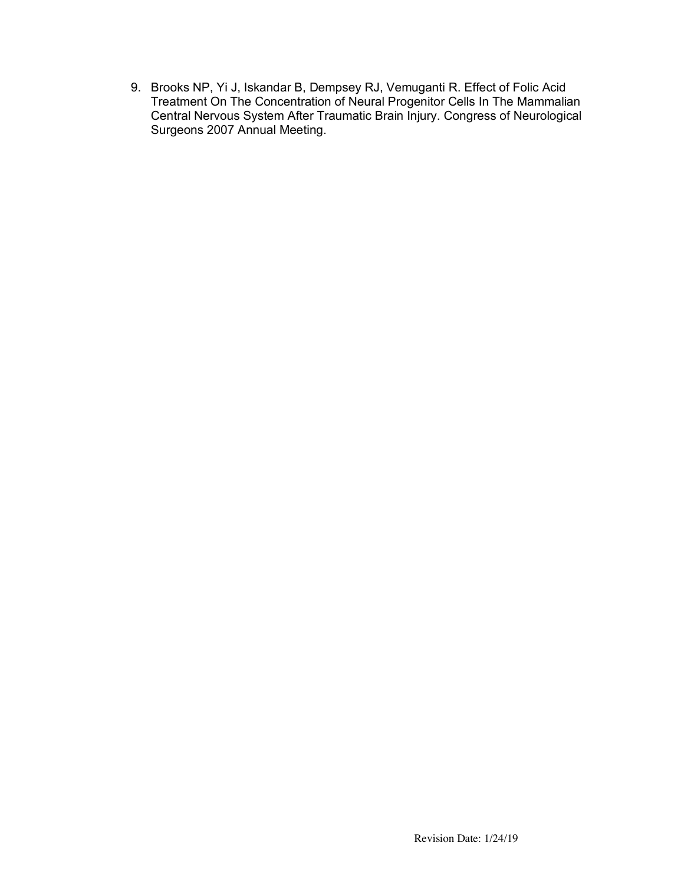9. Brooks NP, Yi J, Iskandar B, Dempsey RJ, Vemuganti R. Effect of Folic Acid Treatment On The Concentration of Neural Progenitor Cells In The Mammalian Central Nervous System After Traumatic Brain Injury. Congress of Neurological Surgeons 2007 Annual Meeting.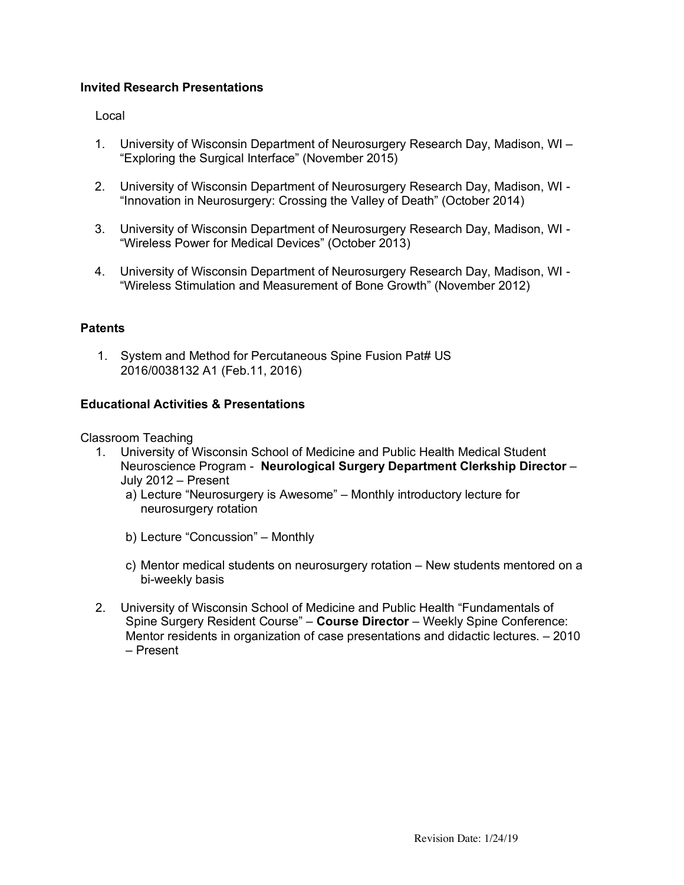## **Invited Research Presentations**

### Local

- 1. University of Wisconsin Department of Neurosurgery Research Day, Madison, WI "Exploring the Surgical Interface" (November 2015)
- 2. University of Wisconsin Department of Neurosurgery Research Day, Madison, WI "Innovation in Neurosurgery: Crossing the Valley of Death" (October 2014)
- 3. University of Wisconsin Department of Neurosurgery Research Day, Madison, WI "Wireless Power for Medical Devices" (October 2013)
- 4. University of Wisconsin Department of Neurosurgery Research Day, Madison, WI "Wireless Stimulation and Measurement of Bone Growth" (November 2012)

## **Patents**

1. System and Method for Percutaneous Spine Fusion Pat# US 2016/0038132 A1 (Feb.11, 2016)

### **Educational Activities & Presentations**

Classroom Teaching

- 1. University of Wisconsin School of Medicine and Public Health Medical Student Neuroscience Program - **Neurological Surgery Department Clerkship Director** – July 2012 – Present
	- a) Lecture "Neurosurgery is Awesome" Monthly introductory lecture for neurosurgery rotation
	- b) Lecture "Concussion" Monthly
	- c) Mentor medical students on neurosurgery rotation New students mentored on a bi-weekly basis
- 2. University of Wisconsin School of Medicine and Public Health "Fundamentals of Spine Surgery Resident Course" – **Course Director** – Weekly Spine Conference: Mentor residents in organization of case presentations and didactic lectures. – 2010 – Present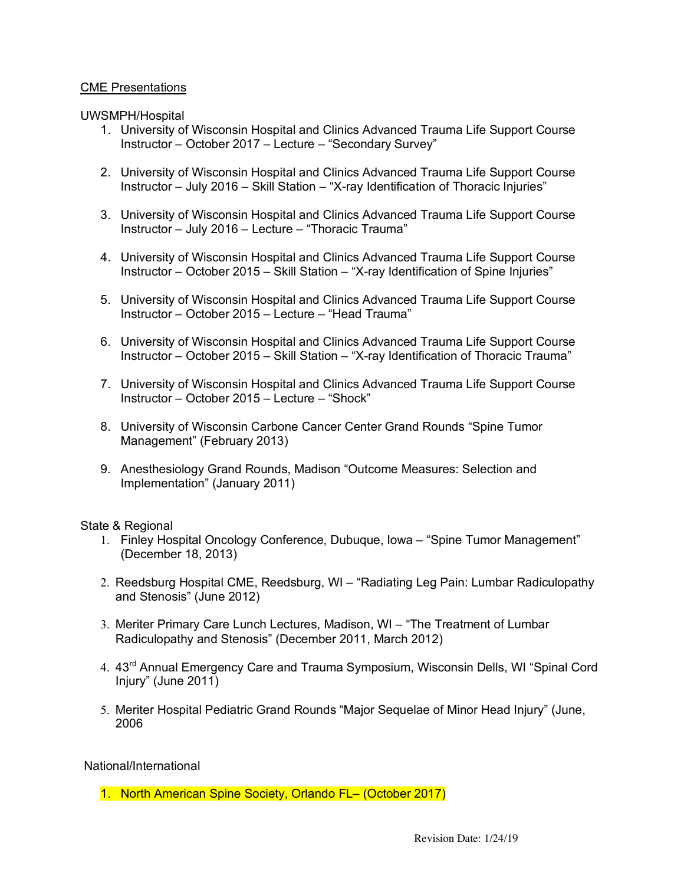### CME Presentations

UWSMPH/Hospital

- 1. University of Wisconsin Hospital and Clinics Advanced Trauma Life Support Course Instructor – October 2017 – Lecture – "Secondary Survey"
- 2. University of Wisconsin Hospital and Clinics Advanced Trauma Life Support Course Instructor – July 2016 – Skill Station – "X-ray Identification of Thoracic Injuries"
- 3. University of Wisconsin Hospital and Clinics Advanced Trauma Life Support Course Instructor – July 2016 – Lecture – "Thoracic Trauma"
- 4. University of Wisconsin Hospital and Clinics Advanced Trauma Life Support Course Instructor – October 2015 – Skill Station – "X-ray Identification of Spine Injuries"
- 5. University of Wisconsin Hospital and Clinics Advanced Trauma Life Support Course Instructor – October 2015 – Lecture – "Head Trauma"
- 6. University of Wisconsin Hospital and Clinics Advanced Trauma Life Support Course Instructor – October 2015 – Skill Station – "X-ray Identification of Thoracic Trauma"
- 7. University of Wisconsin Hospital and Clinics Advanced Trauma Life Support Course Instructor – October 2015 – Lecture – "Shock"
- 8. University of Wisconsin Carbone Cancer Center Grand Rounds "Spine Tumor Management" (February 2013)
- 9. Anesthesiology Grand Rounds, Madison "Outcome Measures: Selection and Implementation" (January 2011)

State & Regional

- 1. Finley Hospital Oncology Conference, Dubuque, Iowa "Spine Tumor Management" (December 18, 2013)
- 2. Reedsburg Hospital CME, Reedsburg, WI "Radiating Leg Pain: Lumbar Radiculopathy and Stenosis" (June 2012)
- 3. Meriter Primary Care Lunch Lectures, Madison, WI "The Treatment of Lumbar Radiculopathy and Stenosis" (December 2011, March 2012)
- 4. 43<sup>rd</sup> Annual Emergency Care and Trauma Symposium, Wisconsin Dells, WI "Spinal Cord Injury" (June 2011)
- 5. Meriter Hospital Pediatric Grand Rounds "Major Sequelae of Minor Head Injury" (June, 2006

National/International

1. North American Spine Society, Orlando FL– (October 2017)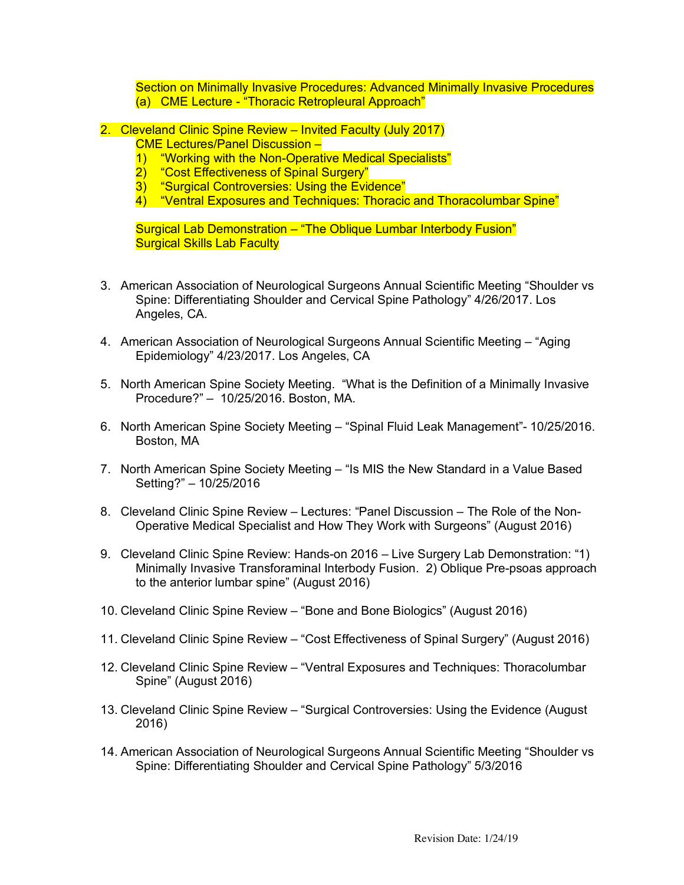Section on Minimally Invasive Procedures: Advanced Minimally Invasive Procedures (a) CME Lecture - "Thoracic Retropleural Approach"

- 2. Cleveland Clinic Spine Review Invited Faculty (July 2017)
	- CME Lectures/Panel Discussion –
	- 1) "Working with the Non-Operative Medical Specialists"
	- 2) "Cost Effectiveness of Spinal Surgery"
	- 3) "Surgical Controversies: Using the Evidence"
	- 4) "Ventral Exposures and Techniques: Thoracic and Thoracolumbar Spine"

Surgical Lab Demonstration – "The Oblique Lumbar Interbody Fusion" **Surgical Skills Lab Faculty** 

- 3. American Association of Neurological Surgeons Annual Scientific Meeting "Shoulder vs Spine: Differentiating Shoulder and Cervical Spine Pathology" 4/26/2017. Los Angeles, CA.
- 4. American Association of Neurological Surgeons Annual Scientific Meeting "Aging Epidemiology" 4/23/2017. Los Angeles, CA
- 5. North American Spine Society Meeting. "What is the Definition of a Minimally Invasive Procedure?" – 10/25/2016. Boston, MA.
- 6. North American Spine Society Meeting "Spinal Fluid Leak Management"- 10/25/2016. Boston, MA
- 7. North American Spine Society Meeting "Is MIS the New Standard in a Value Based Setting?" – 10/25/2016
- 8. Cleveland Clinic Spine Review Lectures: "Panel Discussion The Role of the Non-Operative Medical Specialist and How They Work with Surgeons" (August 2016)
- 9. Cleveland Clinic Spine Review: Hands-on 2016 Live Surgery Lab Demonstration: "1) Minimally Invasive Transforaminal Interbody Fusion. 2) Oblique Pre-psoas approach to the anterior lumbar spine" (August 2016)
- 10. Cleveland Clinic Spine Review "Bone and Bone Biologics" (August 2016)
- 11. Cleveland Clinic Spine Review "Cost Effectiveness of Spinal Surgery" (August 2016)
- 12. Cleveland Clinic Spine Review "Ventral Exposures and Techniques: Thoracolumbar Spine" (August 2016)
- 13. Cleveland Clinic Spine Review "Surgical Controversies: Using the Evidence (August 2016)
- 14. American Association of Neurological Surgeons Annual Scientific Meeting "Shoulder vs Spine: Differentiating Shoulder and Cervical Spine Pathology" 5/3/2016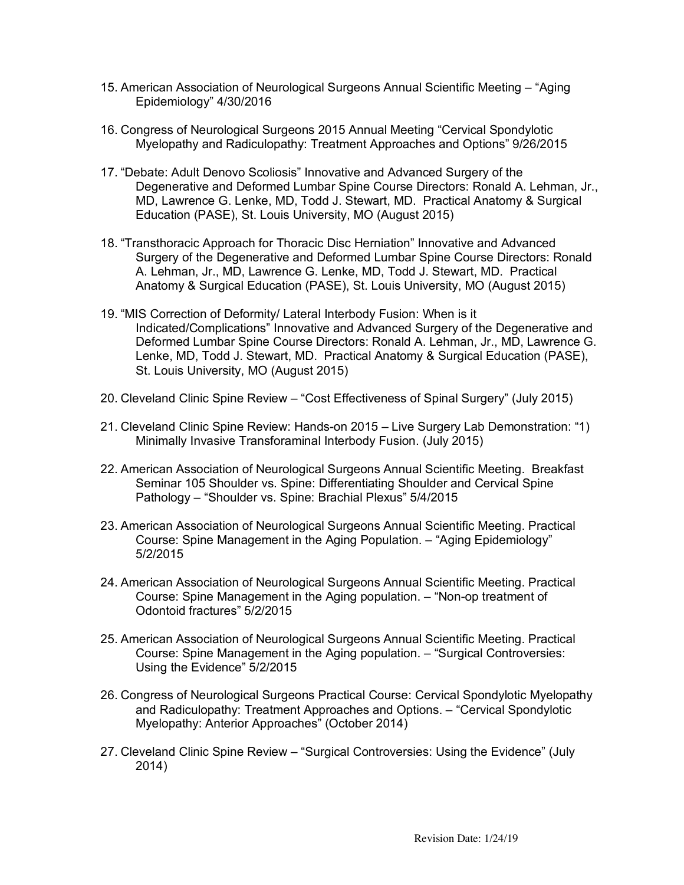- 15. American Association of Neurological Surgeons Annual Scientific Meeting "Aging Epidemiology" 4/30/2016
- 16. Congress of Neurological Surgeons 2015 Annual Meeting "Cervical Spondylotic Myelopathy and Radiculopathy: Treatment Approaches and Options" 9/26/2015
- 17. "Debate: Adult Denovo Scoliosis" Innovative and Advanced Surgery of the Degenerative and Deformed Lumbar Spine Course Directors: Ronald A. Lehman, Jr., MD, Lawrence G. Lenke, MD, Todd J. Stewart, MD. Practical Anatomy & Surgical Education (PASE), St. Louis University, MO (August 2015)
- 18. "Transthoracic Approach for Thoracic Disc Herniation" Innovative and Advanced Surgery of the Degenerative and Deformed Lumbar Spine Course Directors: Ronald A. Lehman, Jr., MD, Lawrence G. Lenke, MD, Todd J. Stewart, MD. Practical Anatomy & Surgical Education (PASE), St. Louis University, MO (August 2015)
- 19. "MIS Correction of Deformity/ Lateral Interbody Fusion: When is it Indicated/Complications" Innovative and Advanced Surgery of the Degenerative and Deformed Lumbar Spine Course Directors: Ronald A. Lehman, Jr., MD, Lawrence G. Lenke, MD, Todd J. Stewart, MD. Practical Anatomy & Surgical Education (PASE), St. Louis University, MO (August 2015)
- 20. Cleveland Clinic Spine Review "Cost Effectiveness of Spinal Surgery" (July 2015)
- 21. Cleveland Clinic Spine Review: Hands-on 2015 Live Surgery Lab Demonstration: "1) Minimally Invasive Transforaminal Interbody Fusion. (July 2015)
- 22. American Association of Neurological Surgeons Annual Scientific Meeting. Breakfast Seminar 105 Shoulder vs. Spine: Differentiating Shoulder and Cervical Spine Pathology – "Shoulder vs. Spine: Brachial Plexus" 5/4/2015
- 23. American Association of Neurological Surgeons Annual Scientific Meeting. Practical Course: Spine Management in the Aging Population. – "Aging Epidemiology" 5/2/2015
- 24. American Association of Neurological Surgeons Annual Scientific Meeting. Practical Course: Spine Management in the Aging population. – "Non-op treatment of Odontoid fractures" 5/2/2015
- 25. American Association of Neurological Surgeons Annual Scientific Meeting. Practical Course: Spine Management in the Aging population. – "Surgical Controversies: Using the Evidence" 5/2/2015
- 26. Congress of Neurological Surgeons Practical Course: Cervical Spondylotic Myelopathy and Radiculopathy: Treatment Approaches and Options. – "Cervical Spondylotic Myelopathy: Anterior Approaches" (October 2014)
- 27. Cleveland Clinic Spine Review "Surgical Controversies: Using the Evidence" (July 2014)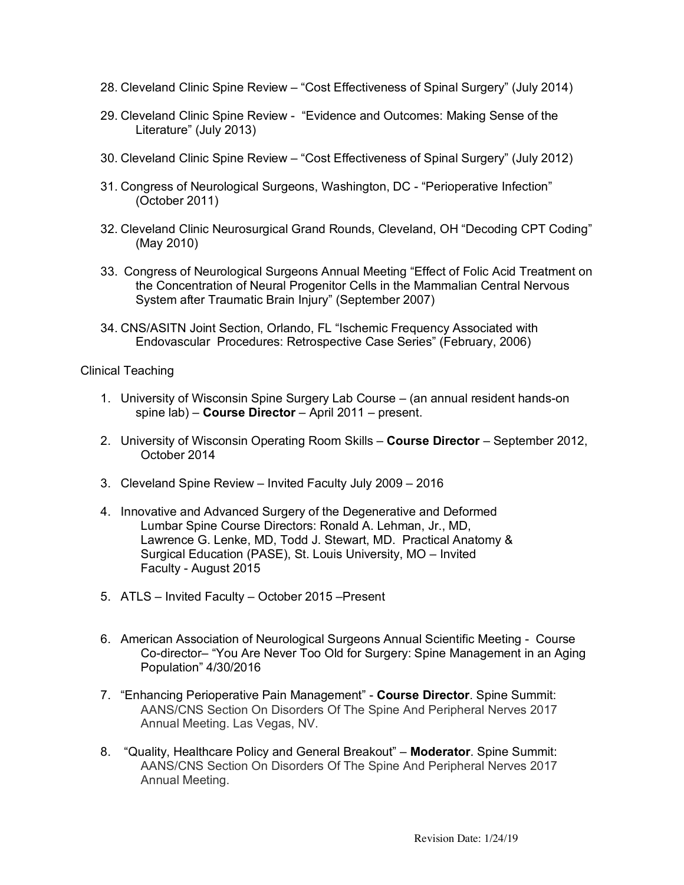- 28. Cleveland Clinic Spine Review "Cost Effectiveness of Spinal Surgery" (July 2014)
- 29. Cleveland Clinic Spine Review "Evidence and Outcomes: Making Sense of the Literature" (July 2013)
- 30. Cleveland Clinic Spine Review "Cost Effectiveness of Spinal Surgery" (July 2012)
- 31. Congress of Neurological Surgeons, Washington, DC "Perioperative Infection" (October 2011)
- 32. Cleveland Clinic Neurosurgical Grand Rounds, Cleveland, OH "Decoding CPT Coding" (May 2010)
- 33. Congress of Neurological Surgeons Annual Meeting "Effect of Folic Acid Treatment on the Concentration of Neural Progenitor Cells in the Mammalian Central Nervous System after Traumatic Brain Injury" (September 2007)
- 34. CNS/ASITN Joint Section, Orlando, FL "Ischemic Frequency Associated with Endovascular Procedures: Retrospective Case Series" (February, 2006)

Clinical Teaching

- 1. University of Wisconsin Spine Surgery Lab Course (an annual resident hands-on spine lab) – **Course Director** – April 2011 – present.
- 2. University of Wisconsin Operating Room Skills **Course Director** September 2012, October 2014
- 3. Cleveland Spine Review Invited Faculty July 2009 2016
- 4. Innovative and Advanced Surgery of the Degenerative and Deformed Lumbar Spine Course Directors: Ronald A. Lehman, Jr., MD, Lawrence G. Lenke, MD, Todd J. Stewart, MD. Practical Anatomy & Surgical Education (PASE), St. Louis University, MO – Invited Faculty - August 2015
- 5. ATLS Invited Faculty October 2015 –Present
- 6. American Association of Neurological Surgeons Annual Scientific Meeting Course Co-director– "You Are Never Too Old for Surgery: Spine Management in an Aging Population" 4/30/2016
- 7. "Enhancing Perioperative Pain Management" **Course Director**. Spine Summit: AANS/CNS Section On Disorders Of The Spine And Peripheral Nerves 2017 Annual Meeting. Las Vegas, NV.
- 8. "Quality, Healthcare Policy and General Breakout" **Moderator**. Spine Summit: AANS/CNS Section On Disorders Of The Spine And Peripheral Nerves 2017 Annual Meeting.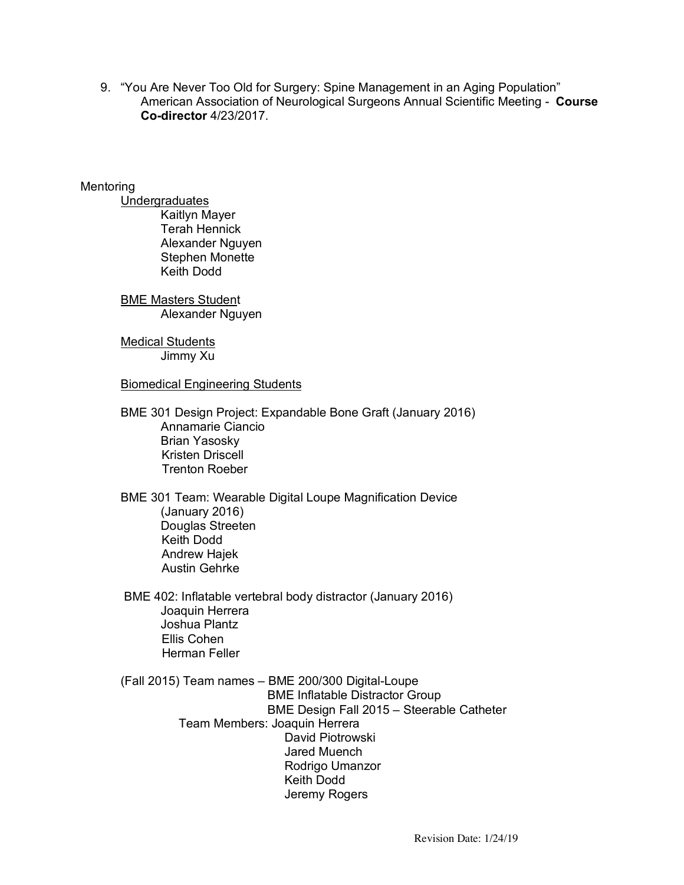9. "You Are Never Too Old for Surgery: Spine Management in an Aging Population" American Association of Neurological Surgeons Annual Scientific Meeting - **Course Co-director** 4/23/2017.

## Mentoring

Undergraduates Kaitlyn Mayer Terah Hennick Alexander Nguyen Stephen Monette Keith Dodd

BME Masters Student Alexander Nguyen

Medical Students Jimmy Xu

Biomedical Engineering Students

BME 301 Design Project: Expandable Bone Graft (January 2016) Annamarie Ciancio Brian Yasosky Kristen Driscell Trenton Roeber

BME 301 Team: Wearable Digital Loupe Magnification Device (January 2016) Douglas Streeten Keith Dodd Andrew Hajek Austin Gehrke

BME 402: Inflatable vertebral body distractor (January 2016) Joaquin Herrera Joshua Plantz Ellis Cohen Herman Feller

(Fall 2015) Team names – BME 200/300 Digital-Loupe BME Inflatable Distractor Group BME Design Fall 2015 – Steerable Catheter Team Members: Joaquin Herrera David Piotrowski Jared Muench Rodrigo Umanzor Keith Dodd Jeremy Rogers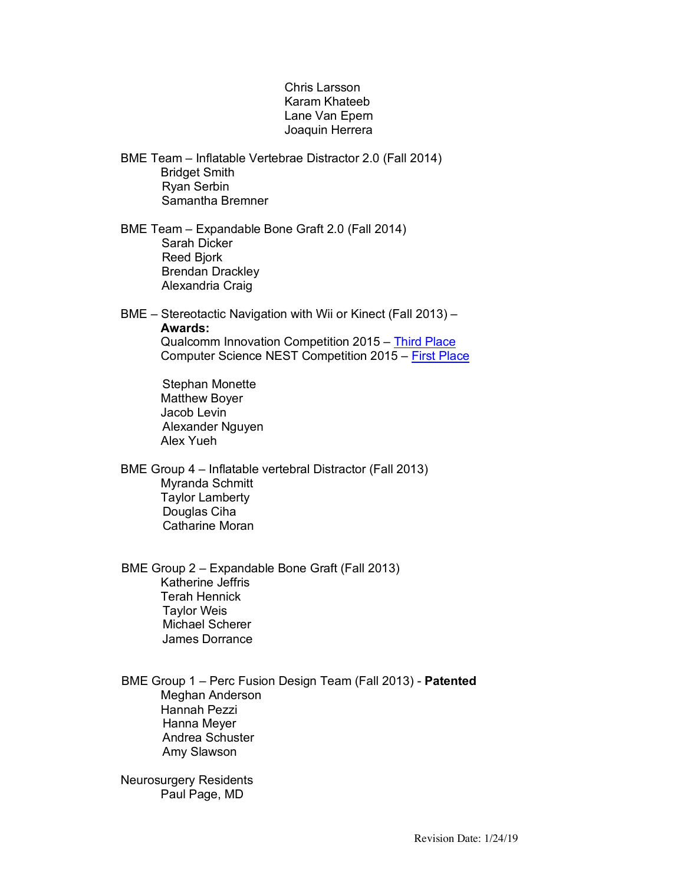### Chris Larsson Karam Khateeb Lane Van Epern Joaquin Herrera

- BME Team Inflatable Vertebrae Distractor 2.0 (Fall 2014) Bridget Smith Ryan Serbin Samantha Bremner
- BME Team Expandable Bone Graft 2.0 (Fall 2014) Sarah Dicker Reed Bjork Brendan Drackley Alexandria Craig

BME – Stereotactic Navigation with Wii or Kinect (Fall 2013) – **Awards:** Qualcomm Innovation Competition 2015 – Third Place Computer Science NEST Competition 2015 – First Place

> Stephan Monette Matthew Boyer Jacob Levin Alexander Nguyen Alex Yueh

BME Group 4 – Inflatable vertebral Distractor (Fall 2013) Myranda Schmitt Taylor Lamberty Douglas Ciha Catharine Moran

 BME Group 2 – Expandable Bone Graft (Fall 2013) Katherine Jeffris Terah Hennick Taylor Weis Michael Scherer James Dorrance

 BME Group 1 – Perc Fusion Design Team (Fall 2013) - **Patented** Meghan Anderson Hannah Pezzi Hanna Meyer Andrea Schuster Amy Slawson

Neurosurgery Residents Paul Page, MD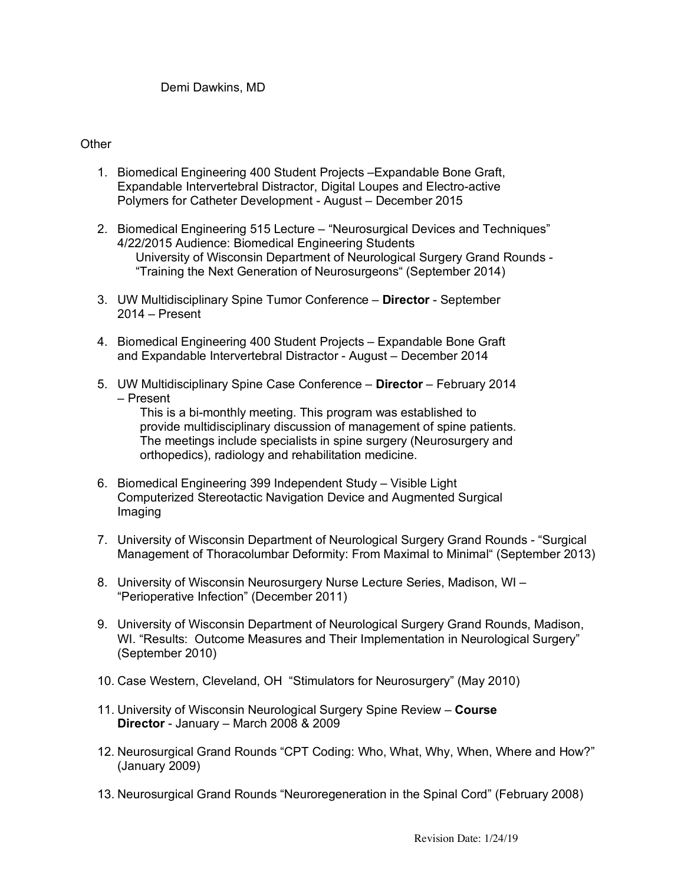## **Other**

- 1. Biomedical Engineering 400 Student Projects –Expandable Bone Graft, Expandable Intervertebral Distractor, Digital Loupes and Electro-active Polymers for Catheter Development - August – December 2015
- 2. Biomedical Engineering 515 Lecture "Neurosurgical Devices and Techniques" 4/22/2015 Audience: Biomedical Engineering Students University of Wisconsin Department of Neurological Surgery Grand Rounds - "Training the Next Generation of Neurosurgeons" (September 2014)
- 3. UW Multidisciplinary Spine Tumor Conference **Director** September 2014 – Present
- 4. Biomedical Engineering 400 Student Projects Expandable Bone Graft and Expandable Intervertebral Distractor - August – December 2014
- 5. UW Multidisciplinary Spine Case Conference **Director** February 2014 – Present

This is a bi-monthly meeting. This program was established to provide multidisciplinary discussion of management of spine patients. The meetings include specialists in spine surgery (Neurosurgery and orthopedics), radiology and rehabilitation medicine.

- 6. Biomedical Engineering 399 Independent Study Visible Light Computerized Stereotactic Navigation Device and Augmented Surgical Imaging
- 7. University of Wisconsin Department of Neurological Surgery Grand Rounds "Surgical Management of Thoracolumbar Deformity: From Maximal to Minimal" (September 2013)
- 8. University of Wisconsin Neurosurgery Nurse Lecture Series, Madison, WI "Perioperative Infection" (December 2011)
- 9. University of Wisconsin Department of Neurological Surgery Grand Rounds, Madison, WI. "Results: Outcome Measures and Their Implementation in Neurological Surgery" (September 2010)
- 10. Case Western, Cleveland, OH "Stimulators for Neurosurgery" (May 2010)
- 11. University of Wisconsin Neurological Surgery Spine Review **Course Director** - January – March 2008 & 2009
- 12. Neurosurgical Grand Rounds "CPT Coding: Who, What, Why, When, Where and How?" (January 2009)
- 13. Neurosurgical Grand Rounds "Neuroregeneration in the Spinal Cord" (February 2008)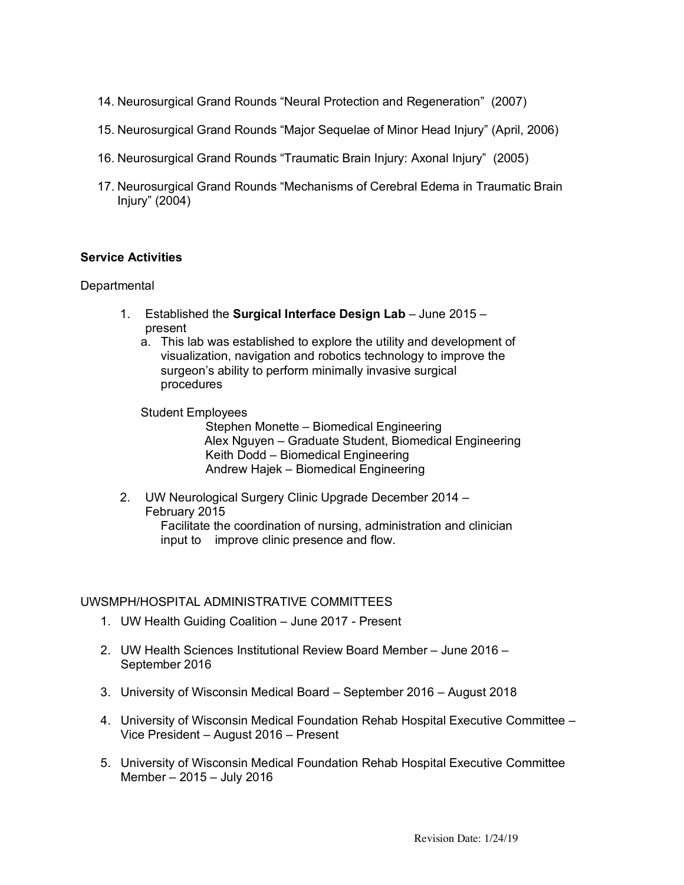- 14. Neurosurgical Grand Rounds "Neural Protection and Regeneration" (2007)
- 15. Neurosurgical Grand Rounds "Major Sequelae of Minor Head Injury" (April, 2006)
- 16. Neurosurgical Grand Rounds "Traumatic Brain Injury: Axonal Injury" (2005)
- 17. Neurosurgical Grand Rounds "Mechanisms of Cerebral Edema in Traumatic Brain Injury" (2004)

### **Service Activities**

#### **Departmental**

- 1. Established the **Surgical Interface Design Lab** June 2015 present
	- a. This lab was established to explore the utility and development of visualization, navigation and robotics technology to improve the surgeon's ability to perform minimally invasive surgical procedures
	- Student Employees

 Stephen Monette – Biomedical Engineering Alex Nguyen – Graduate Student, Biomedical Engineering Keith Dodd – Biomedical Engineering Andrew Hajek – Biomedical Engineering

2. UW Neurological Surgery Clinic Upgrade December 2014 – February 2015 Facilitate the coordination of nursing, administration and clinician input to improve clinic presence and flow.

## UWSMPH/HOSPITAL ADMINISTRATIVE COMMITTEES

- 1. UW Health Guiding Coalition June 2017 Present
- 2. UW Health Sciences Institutional Review Board Member June 2016 September 2016
- 3. University of Wisconsin Medical Board September 2016 August 2018
- 4. University of Wisconsin Medical Foundation Rehab Hospital Executive Committee Vice President – August 2016 – Present
- 5. University of Wisconsin Medical Foundation Rehab Hospital Executive Committee Member – 2015 – July 2016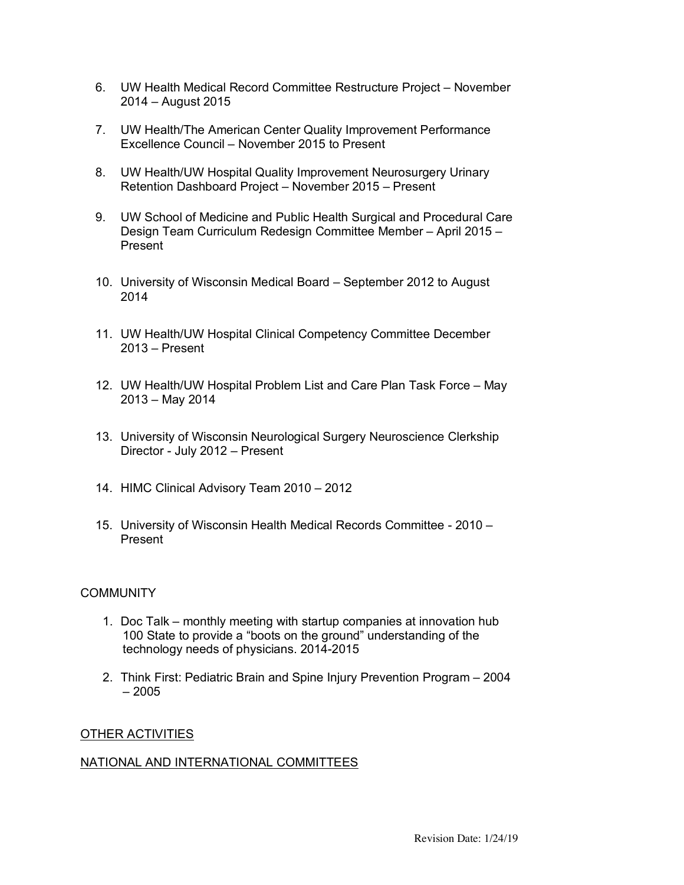- 6. UW Health Medical Record Committee Restructure Project November 2014 – August 2015
- 7. UW Health/The American Center Quality Improvement Performance Excellence Council – November 2015 to Present
- 8. UW Health/UW Hospital Quality Improvement Neurosurgery Urinary Retention Dashboard Project – November 2015 – Present
- 9. UW School of Medicine and Public Health Surgical and Procedural Care Design Team Curriculum Redesign Committee Member – April 2015 – Present
- 10. University of Wisconsin Medical Board September 2012 to August 2014
- 11. UW Health/UW Hospital Clinical Competency Committee December 2013 – Present
- 12. UW Health/UW Hospital Problem List and Care Plan Task Force May 2013 – May 2014
- 13. University of Wisconsin Neurological Surgery Neuroscience Clerkship Director - July 2012 – Present
- 14. HIMC Clinical Advisory Team 2010 2012
- 15. University of Wisconsin Health Medical Records Committee 2010 Present

### **COMMUNITY**

- 1. Doc Talk monthly meeting with startup companies at innovation hub 100 State to provide a "boots on the ground" understanding of the technology needs of physicians. 2014-2015
- 2. Think First: Pediatric Brain and Spine Injury Prevention Program 2004  $-2005$

#### OTHER ACTIVITIES

#### NATIONAL AND INTERNATIONAL COMMITTEES